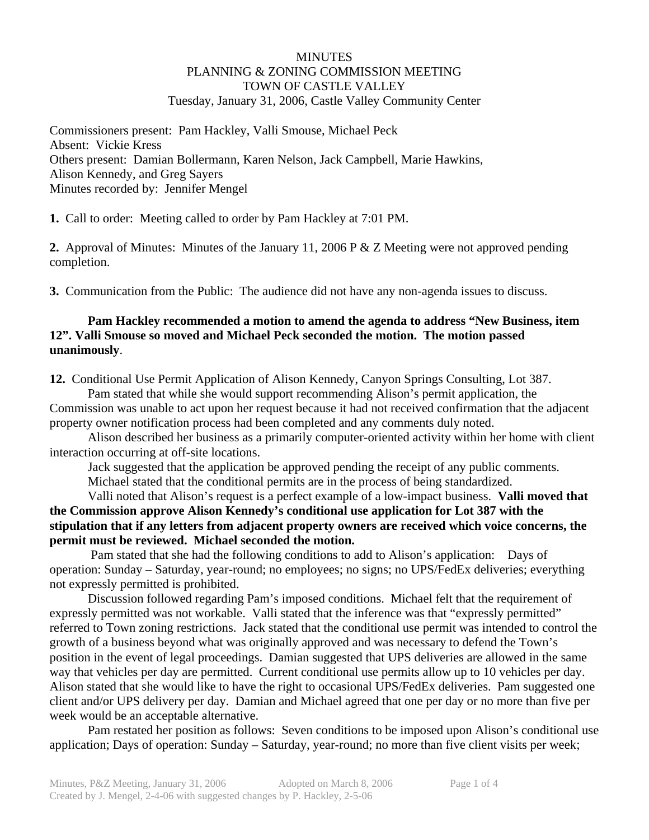#### MINUTES PLANNING & ZONING COMMISSION MEETING TOWN OF CASTLE VALLEY Tuesday, January 31, 2006, Castle Valley Community Center

Commissioners present: Pam Hackley, Valli Smouse, Michael Peck Absent: Vickie Kress Others present: Damian Bollermann, Karen Nelson, Jack Campbell, Marie Hawkins, Alison Kennedy, and Greg Sayers Minutes recorded by: Jennifer Mengel

**1.** Call to order: Meeting called to order by Pam Hackley at 7:01 PM.

**2.** Approval of Minutes: Minutes of the January 11, 2006 P & Z Meeting were not approved pending completion.

**3.** Communication from the Public: The audience did not have any non-agenda issues to discuss.

# **Pam Hackley recommended a motion to amend the agenda to address "New Business, item 12". Valli Smouse so moved and Michael Peck seconded the motion. The motion passed unanimously**.

**12.** Conditional Use Permit Application of Alison Kennedy, Canyon Springs Consulting, Lot 387.

 Pam stated that while she would support recommending Alison's permit application, the Commission was unable to act upon her request because it had not received confirmation that the adjacent property owner notification process had been completed and any comments duly noted.

 Alison described her business as a primarily computer-oriented activity within her home with client interaction occurring at off-site locations.

Jack suggested that the application be approved pending the receipt of any public comments.

Michael stated that the conditional permits are in the process of being standardized.

 Valli noted that Alison's request is a perfect example of a low-impact business. **Valli moved that the Commission approve Alison Kennedy's conditional use application for Lot 387 with the stipulation that if any letters from adjacent property owners are received which voice concerns, the permit must be reviewed. Michael seconded the motion.** 

 Pam stated that she had the following conditions to add to Alison's application: Days of operation: Sunday – Saturday, year-round; no employees; no signs; no UPS/FedEx deliveries; everything not expressly permitted is prohibited.

 Discussion followed regarding Pam's imposed conditions. Michael felt that the requirement of expressly permitted was not workable. Valli stated that the inference was that "expressly permitted" referred to Town zoning restrictions. Jack stated that the conditional use permit was intended to control the growth of a business beyond what was originally approved and was necessary to defend the Town's position in the event of legal proceedings. Damian suggested that UPS deliveries are allowed in the same way that vehicles per day are permitted. Current conditional use permits allow up to 10 vehicles per day. Alison stated that she would like to have the right to occasional UPS/FedEx deliveries. Pam suggested one client and/or UPS delivery per day. Damian and Michael agreed that one per day or no more than five per week would be an acceptable alternative.

 Pam restated her position as follows: Seven conditions to be imposed upon Alison's conditional use application; Days of operation: Sunday – Saturday, year-round; no more than five client visits per week;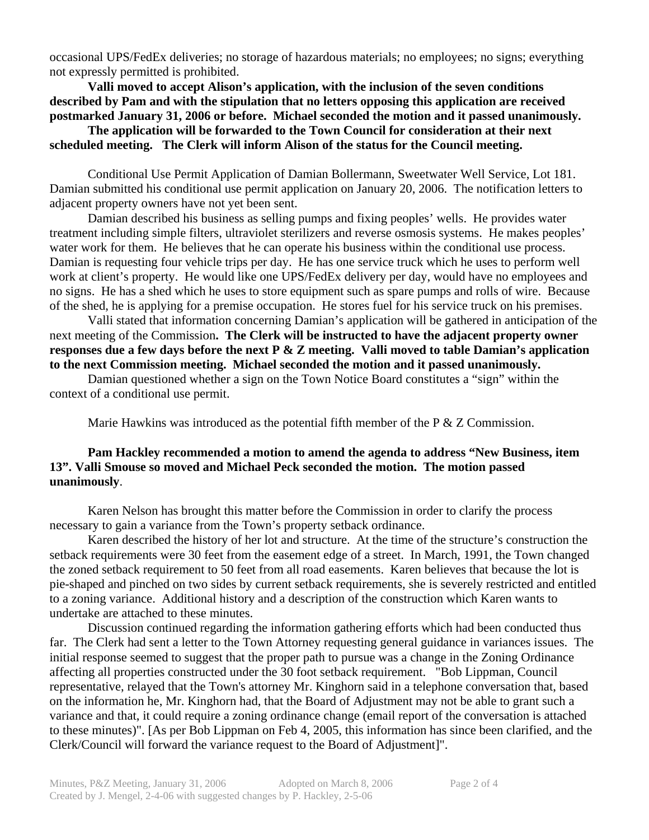occasional UPS/FedEx deliveries; no storage of hazardous materials; no employees; no signs; everything not expressly permitted is prohibited.

**Valli moved to accept Alison's application, with the inclusion of the seven conditions described by Pam and with the stipulation that no letters opposing this application are received postmarked January 31, 2006 or before. Michael seconded the motion and it passed unanimously.** 

 **The application will be forwarded to the Town Council for consideration at their next scheduled meeting. The Clerk will inform Alison of the status for the Council meeting.** 

Conditional Use Permit Application of Damian Bollermann, Sweetwater Well Service, Lot 181. Damian submitted his conditional use permit application on January 20, 2006. The notification letters to adjacent property owners have not yet been sent.

 Damian described his business as selling pumps and fixing peoples' wells. He provides water treatment including simple filters, ultraviolet sterilizers and reverse osmosis systems. He makes peoples' water work for them. He believes that he can operate his business within the conditional use process. Damian is requesting four vehicle trips per day. He has one service truck which he uses to perform well work at client's property. He would like one UPS/FedEx delivery per day, would have no employees and no signs. He has a shed which he uses to store equipment such as spare pumps and rolls of wire. Because of the shed, he is applying for a premise occupation. He stores fuel for his service truck on his premises.

 Valli stated that information concerning Damian's application will be gathered in anticipation of the next meeting of the Commission**. The Clerk will be instructed to have the adjacent property owner responses due a few days before the next P & Z meeting. Valli moved to table Damian's application to the next Commission meeting. Michael seconded the motion and it passed unanimously.** 

 Damian questioned whether a sign on the Town Notice Board constitutes a "sign" within the context of a conditional use permit.

Marie Hawkins was introduced as the potential fifth member of the  $P \& Z$  Commission.

### **Pam Hackley recommended a motion to amend the agenda to address "New Business, item 13". Valli Smouse so moved and Michael Peck seconded the motion. The motion passed unanimously**.

 Karen Nelson has brought this matter before the Commission in order to clarify the process necessary to gain a variance from the Town's property setback ordinance.

 Karen described the history of her lot and structure. At the time of the structure's construction the setback requirements were 30 feet from the easement edge of a street. In March, 1991, the Town changed the zoned setback requirement to 50 feet from all road easements. Karen believes that because the lot is pie-shaped and pinched on two sides by current setback requirements, she is severely restricted and entitled to a zoning variance. Additional history and a description of the construction which Karen wants to undertake are attached to these minutes.

 Discussion continued regarding the information gathering efforts which had been conducted thus far. The Clerk had sent a letter to the Town Attorney requesting general guidance in variances issues. The initial response seemed to suggest that the proper path to pursue was a change in the Zoning Ordinance affecting all properties constructed under the 30 foot setback requirement. "Bob Lippman, Council representative, relayed that the Town's attorney Mr. Kinghorn said in a telephone conversation that, based on the information he, Mr. Kinghorn had, that the Board of Adjustment may not be able to grant such a variance and that, it could require a zoning ordinance change (email report of the conversation is attached to these minutes)". [As per Bob Lippman on Feb 4, 2005, this information has since been clarified, and the Clerk/Council will forward the variance request to the Board of Adjustment]".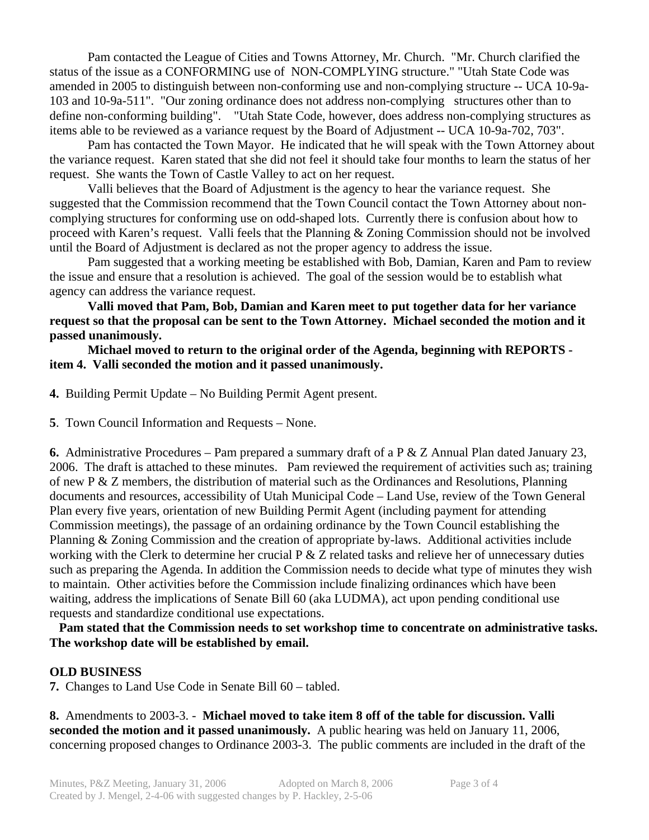Pam contacted the League of Cities and Towns Attorney, Mr. Church. "Mr. Church clarified the status of the issue as a CONFORMING use of NON-COMPLYING structure." "Utah State Code was amended in 2005 to distinguish between non-conforming use and non-complying structure -- UCA 10-9a-103 and 10-9a-511". "Our zoning ordinance does not address non-complying structures other than to define non-conforming building". "Utah State Code, however, does address non-complying structures as items able to be reviewed as a variance request by the Board of Adjustment -- UCA 10-9a-702, 703".

 Pam has contacted the Town Mayor. He indicated that he will speak with the Town Attorney about the variance request. Karen stated that she did not feel it should take four months to learn the status of her request. She wants the Town of Castle Valley to act on her request.

 Valli believes that the Board of Adjustment is the agency to hear the variance request. She suggested that the Commission recommend that the Town Council contact the Town Attorney about noncomplying structures for conforming use on odd-shaped lots. Currently there is confusion about how to proceed with Karen's request. Valli feels that the Planning & Zoning Commission should not be involved until the Board of Adjustment is declared as not the proper agency to address the issue.

 Pam suggested that a working meeting be established with Bob, Damian, Karen and Pam to review the issue and ensure that a resolution is achieved. The goal of the session would be to establish what agency can address the variance request.

 **Valli moved that Pam, Bob, Damian and Karen meet to put together data for her variance request so that the proposal can be sent to the Town Attorney. Michael seconded the motion and it passed unanimously.** 

**Michael moved to return to the original order of the Agenda, beginning with REPORTS item 4. Valli seconded the motion and it passed unanimously.** 

- **4.** Building Permit Update No Building Permit Agent present.
- **5**. Town Council Information and Requests None.

**6.** Administrative Procedures – Pam prepared a summary draft of a P & Z Annual Plan dated January 23, 2006. The draft is attached to these minutes. Pam reviewed the requirement of activities such as; training of new P  $\&$  Z members, the distribution of material such as the Ordinances and Resolutions, Planning documents and resources, accessibility of Utah Municipal Code – Land Use, review of the Town General Plan every five years, orientation of new Building Permit Agent (including payment for attending Commission meetings), the passage of an ordaining ordinance by the Town Council establishing the Planning & Zoning Commission and the creation of appropriate by-laws. Additional activities include working with the Clerk to determine her crucial P & Z related tasks and relieve her of unnecessary duties such as preparing the Agenda. In addition the Commission needs to decide what type of minutes they wish to maintain. Other activities before the Commission include finalizing ordinances which have been waiting, address the implications of Senate Bill 60 (aka LUDMA), act upon pending conditional use requests and standardize conditional use expectations.

 **Pam stated that the Commission needs to set workshop time to concentrate on administrative tasks. The workshop date will be established by email.** 

### **OLD BUSINESS**

**7.** Changes to Land Use Code in Senate Bill 60 – tabled.

**8.** Amendments to 2003-3. - **Michael moved to take item 8 off of the table for discussion. Valli seconded the motion and it passed unanimously.** A public hearing was held on January 11, 2006, concerning proposed changes to Ordinance 2003-3. The public comments are included in the draft of the